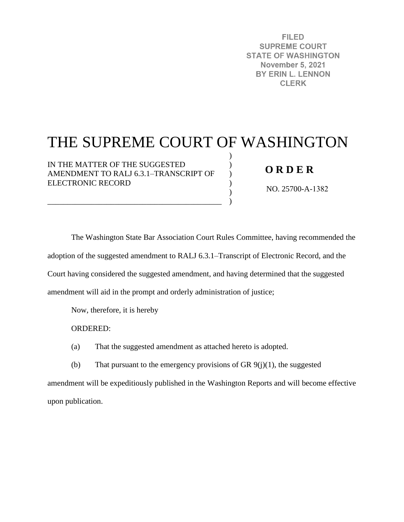**FILED SUPREME COURT STATE OF WASHINGTON November 5, 2021** BY ERIN L. LENNON **CLERK** 

# THE SUPREME COURT OF WASHINGTON

) ) ) ) ) )

IN THE MATTER OF THE SUGGESTED AMENDMENT TO RALJ 6.3.1–TRANSCRIPT OF ELECTRONIC RECORD

\_\_\_\_\_\_\_\_\_\_\_\_\_\_\_\_\_\_\_\_\_\_\_\_\_\_\_\_\_\_\_\_\_\_\_\_\_\_\_\_\_\_\_\_

## **O R D E R**

NO. 25700-A-1382

The Washington State Bar Association Court Rules Committee, having recommended the adoption of the suggested amendment to RALJ 6.3.1–Transcript of Electronic Record, and the Court having considered the suggested amendment, and having determined that the suggested amendment will aid in the prompt and orderly administration of justice;

Now, therefore, it is hereby

ORDERED:

- (a) That the suggested amendment as attached hereto is adopted.
- (b) That pursuant to the emergency provisions of GR  $9(j)(1)$ , the suggested

amendment will be expeditiously published in the Washington Reports and will become effective upon publication.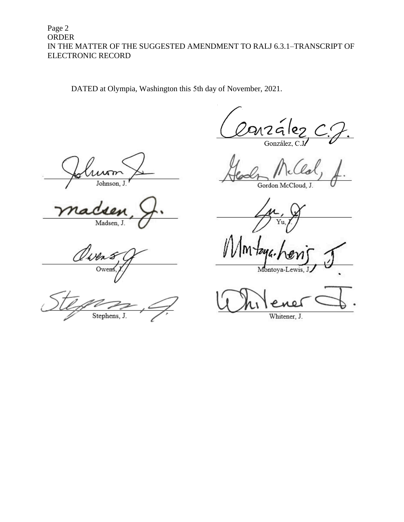### Page 2 **ORDER** IN THE MATTER OF THE SUGGESTED AMENDMENT TO RALJ 6.3.1-TRANSCRIPT OF ELECTRONIC RECORD

DATED at Olympia, Washington this 5th day of November, 2021.

ห2ส์ lea González, C.

Johnson, J.

Madsen, J.

Viven Ower

Stephens, J.

Gordon McCloud, J.

Yu

Montova-Lewis

Whitener, J.